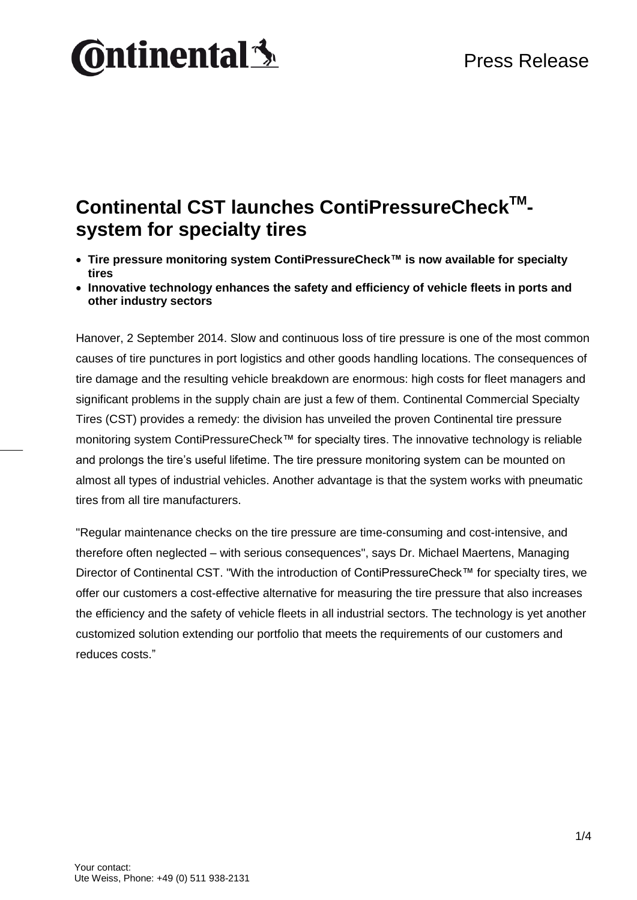### Press Release

# **Ontinental 3**

### **Continental CST launches ContiPressureCheckTM system for specialty tires**

- **Tire pressure monitoring system ContiPressureCheck™ is now available for specialty tires**
- **Innovative technology enhances the safety and efficiency of vehicle fleets in ports and other industry sectors**

Hanover, 2 September 2014. Slow and continuous loss of tire pressure is one of the most common causes of tire punctures in port logistics and other goods handling locations. The consequences of tire damage and the resulting vehicle breakdown are enormous: high costs for fleet managers and significant problems in the supply chain are just a few of them. Continental Commercial Specialty Tires (CST) provides a remedy: the division has unveiled the proven Continental tire pressure monitoring system ContiPressureCheck™ for specialty tires. The innovative technology is reliable and prolongs the tire's useful lifetime. The tire pressure monitoring system can be mounted on almost all types of industrial vehicles. Another advantage is that the system works with pneumatic tires from all tire manufacturers.

"Regular maintenance checks on the tire pressure are time-consuming and cost-intensive, and therefore often neglected – with serious consequences", says Dr. Michael Maertens, Managing Director of Continental CST. "With the introduction of ContiPressureCheck™ for specialty tires, we offer our customers a cost-effective alternative for measuring the tire pressure that also increases the efficiency and the safety of vehicle fleets in all industrial sectors. The technology is yet another customized solution extending our portfolio that meets the requirements of our customers and reduces costs."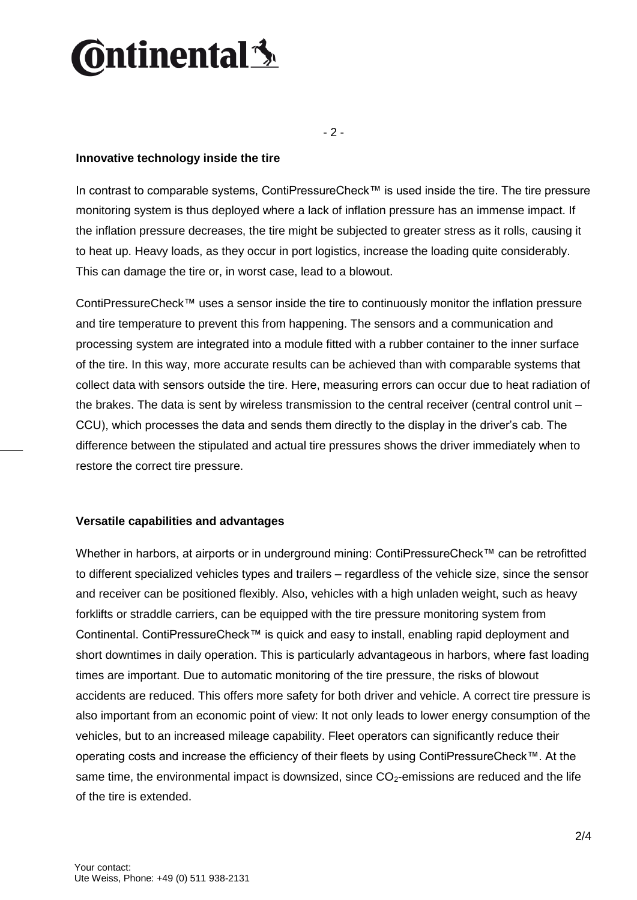## **Ontinental3**

- 2 -

#### **Innovative technology inside the tire**

In contrast to comparable systems, ContiPressureCheck™ is used inside the tire. The tire pressure monitoring system is thus deployed where a lack of inflation pressure has an immense impact. If the inflation pressure decreases, the tire might be subjected to greater stress as it rolls, causing it to heat up. Heavy loads, as they occur in port logistics, increase the loading quite considerably. This can damage the tire or, in worst case, lead to a blowout.

ContiPressureCheck™ uses a sensor inside the tire to continuously monitor the inflation pressure and tire temperature to prevent this from happening. The sensors and a communication and processing system are integrated into a module fitted with a rubber container to the inner surface of the tire. In this way, more accurate results can be achieved than with comparable systems that collect data with sensors outside the tire. Here, measuring errors can occur due to heat radiation of the brakes. The data is sent by wireless transmission to the central receiver (central control unit – CCU), which processes the data and sends them directly to the display in the driver's cab. The difference between the stipulated and actual tire pressures shows the driver immediately when to restore the correct tire pressure.

#### **Versatile capabilities and advantages**

Whether in harbors, at airports or in underground mining: ContiPressureCheck™ can be retrofitted to different specialized vehicles types and trailers – regardless of the vehicle size, since the sensor and receiver can be positioned flexibly. Also, vehicles with a high unladen weight, such as heavy forklifts or straddle carriers, can be equipped with the tire pressure monitoring system from Continental. ContiPressureCheck™ is quick and easy to install, enabling rapid deployment and short downtimes in daily operation. This is particularly advantageous in harbors, where fast loading times are important. Due to automatic monitoring of the tire pressure, the risks of blowout accidents are reduced. This offers more safety for both driver and vehicle. A correct tire pressure is also important from an economic point of view: It not only leads to lower energy consumption of the vehicles, but to an increased mileage capability. Fleet operators can significantly reduce their operating costs and increase the efficiency of their fleets by using ContiPressureCheck™. At the same time, the environmental impact is downsized, since  $CO<sub>2</sub>$ -emissions are reduced and the life of the tire is extended.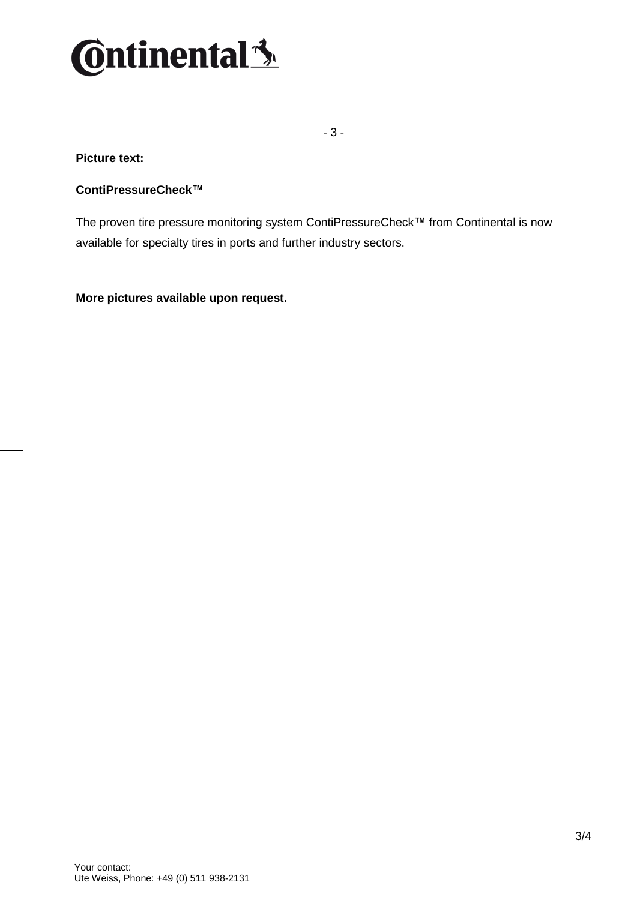

- 3 -

#### **Picture text:**

#### **ContiPressureCheck™**

The proven tire pressure monitoring system ContiPressureCheck**™** from Continental is now available for specialty tires in ports and further industry sectors.

**More pictures available upon request.**